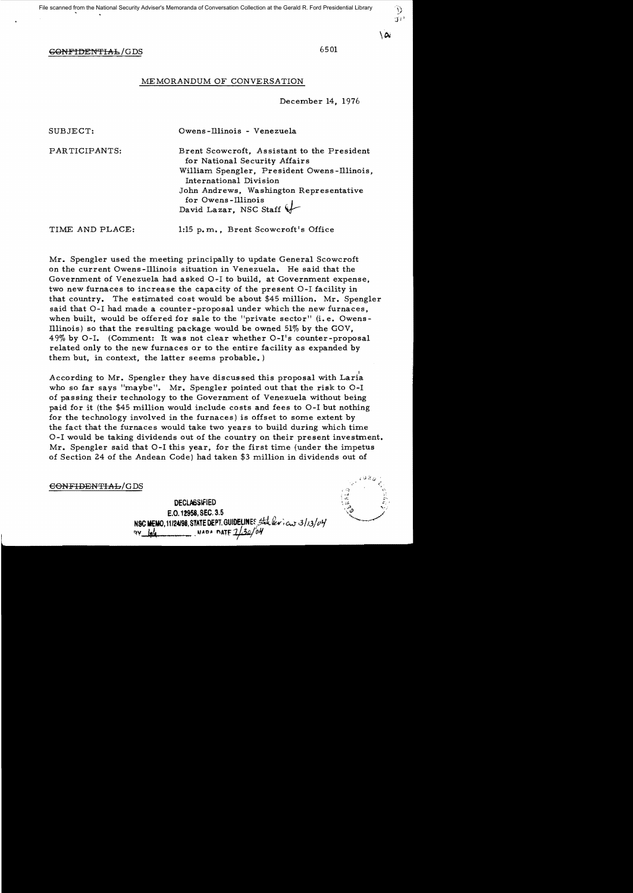$\setminus \alpha_i$ 

# GONFIDENTIAL/GDS 6501

## MEMORANDUM OF CONVERSATION

December 14, 1976

| SUBJECT:        | Owens-Illinois - Venezuela                                                                                                                                                                                                                       |
|-----------------|--------------------------------------------------------------------------------------------------------------------------------------------------------------------------------------------------------------------------------------------------|
| PARTICIPANTS:   | Brent Scowcroft, Assistant to the President<br>for National Security Affairs<br>William Spengler, President Owens-Illinois,<br>International Division<br>John Andrews, Washington Representative<br>for Owens-Illinois<br>David Lazar, NSC Staff |
| TIME AND PLACE: | 1:15 p.m., Brent Scowcroft's Office                                                                                                                                                                                                              |

Mr. Spengler used the meeting principally to update General Scowcroft on the current Owens-Illinois situation in Venezuela. He said that the Government of Venezuela had asked 0-1 to build, at Government expense, two new furnaces to increase the capacity of the present 0-1 facility in that country. The estimated cost would be about \$45 million. Mr. Spengler said that 0-1 had made a counter-proposal under which the new furnaces, when built, would be offered for sale to the "private sector" (i.e. Owens-Illinois) so that the resulting package would be owned 51% by the GOV,  $49\%$  by O-I. (Comment: It was not clear whether O-I's counter-proposal related only to the new furnaces or to the entire facility as expanded by them but, in context, the latter seems probable. )

According to Mr. Spengler they have discussed this proposal with Laria who so far says "maybe". Mr. Spengler pointed out that the risk to  $O-I$ of passing their technology to the Government of Venezuela without being paid for it (the \$45 million would include costs and fees to 0-1 but nothing for the technology involved in the furnaces) is offset to some extent by the fact that the furnaces would take two years to build during which time O-I would be taking dividends out of the country on their present investment. Mr. Spengler said that 0-1 this year, for the first time (under the impetus of Section 24 of the Andean Code) had taken \$3 million in dividends out of

 $e$ ONFIDENTIAL/GDS

DECLASSIFIED E.O. 12958, SEC. 3.5<br>
NSC MEMO, 11124198, STATE DEPT. GUIDELINES State levices 3/13/04 WADA MATE 1/30/04

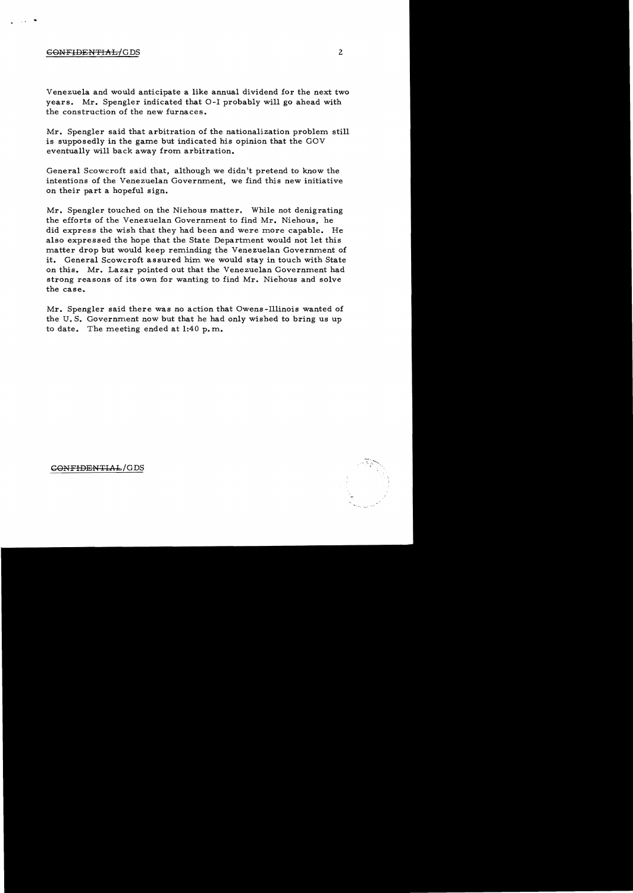# GONFIDENTIAL/ GDS

 $\cdot$   $\cdot$   $\cdot$   $\cdot$ 

Venezuela and would anticipate a like annual dividend for the next two years. Mr. Spengler indicated that 0-1 probably will go ahead with the construction of the new furnaces.

Mr. Spengler said that arbitration of the nationalization problem still is supposedly in the game but indicated his opinion that the GOV eventually will back away from arbitration.

General Scowcroft said that, although we didn't pretend to know the intentions of the Venezuelan Government, we find this new initiative on their part a hopeful sign.

Mr. Spengler touched on the Niehous matter. While not denigrating the efforts of the Venezuelan Government to find Mr. Niehous, he did express the wish that they had been and were more capable. He also expressed the hope that the State Department would not let this matter drop but would keep reminding the Venezuelan Government of it. General Scowcroft assured him we would stay in touch with State on this. Mr. Lazar pointed out that the Venezuelan Government had strong reasons of its own for wanting to find Mr. Niehous and solve the case.

Mr. Spengler said there was no action that Owens-Illinois wanted of the U. S. Government now but that he had only wished to bring us up to date. The meeting ended at  $1:40$  p.m.

GONFIDENTIAL/GDS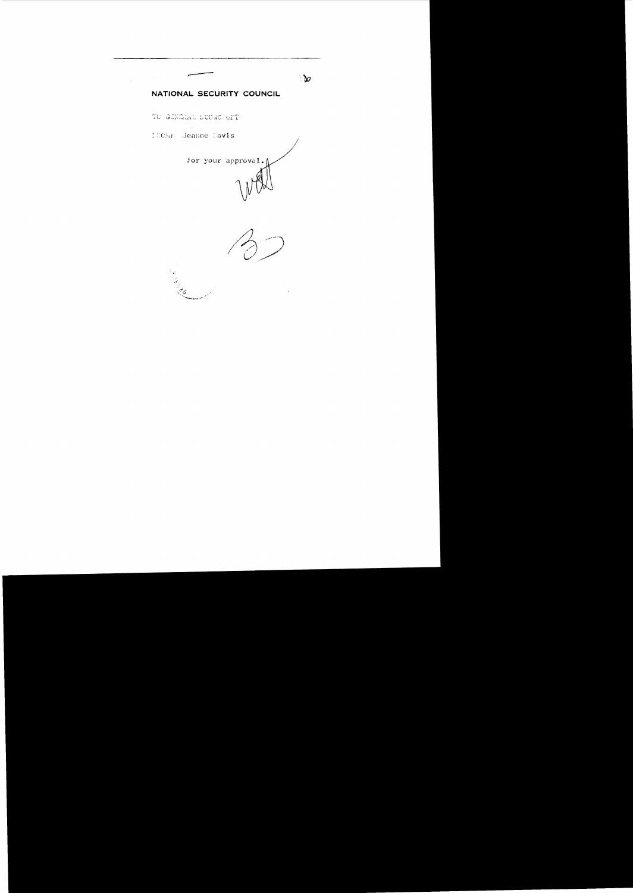# NATIONAL SECURITY COUNCIL

TO GENERAL SCOWC OFT

ITOM: Jeanne Davis

 $\mathcal{L}_{\rm{max}}$ 



 $\mathbf{b}$ 

Call Call Call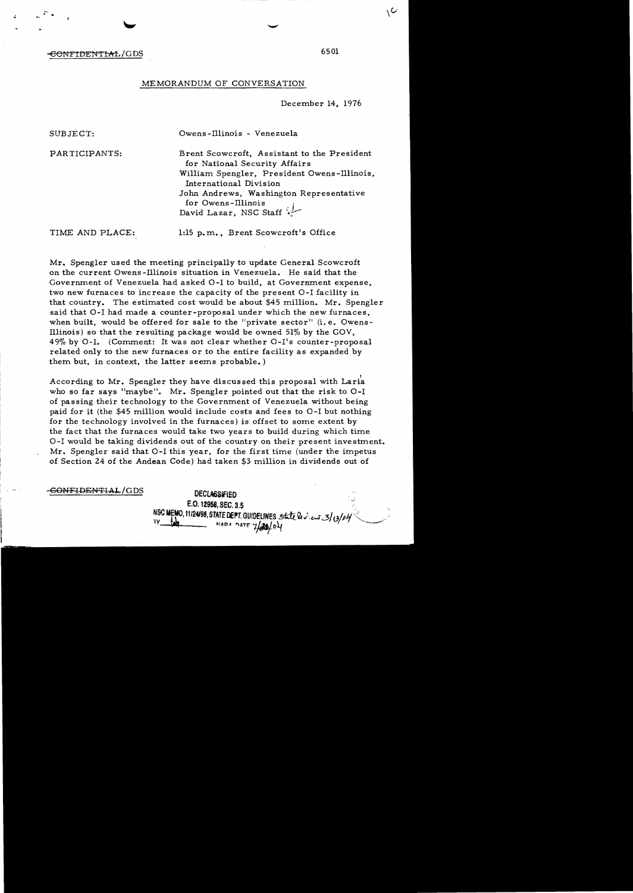### CONFIDENTIAL/GDS

### MEMORANDUM OF CONVERSATION

December 14, 1976

· ..

SUBJECT: Owens-Illinois - Venezuela

PARTICIPANTS: Brent Scowcroft, Assistant to the President for National Security Affairs William Spengler, President Owens-Illinois, International Division John Andrews, Washington Representative for Owens-Illinois. David Lazar, NSC Staff  $\cdot$ 

TIME AND PLACE: 1:15 p.m., Brent Scowcroft's Office

Mr. Spengler used the meeting principally to update General Scowcroft on the current Owens -illinois situation in Venezuela. He said that the Government of Venezuela had asked 0-1 to build, at Government expense, two new furnaces to increase the capacity of the present 0-1 facility in that country. The estimated cost would be about \$45 million. Mr. Spengler said that 0-1 had made a counter-proposal under which the new furnaces, when built, would be offered for sale to the "private sector" (i. e. Owens-Illinois) so that the resulting package would be owned  $51\%$  by the GOV. 49% by 0-1. (Comment: It was not clear whether O-I's counter-proposal related only to the new furnaces or to the entire facility as expanded by them but, in context, the latter seems probable. )

, According to Mr. Spengler they have discussed this proposal with Laria who so far says "maybe". Mr. Spengler pointed out that the risk to 0-1 of passing their technology to the Government of Venezuela without being paid for it (the \$45 million would include costs and fees to 0-1 but nothing for the technology involved in the furnaces) is offset to some extent by the fact that the furnaces would take two years to build during which time 0-1 would be taking dividends out of the country on their present investment. Mr. Spengler said that 0-1 this year, for the first time (under the impetus of Section 24 of the Andean Code) had taken \$3 million in dividends out of

**CONFIDENTIAL/GDS DECLASSIFIED** 

E.O. 12958, SEC. 3.5 NSC MEMO, 11/24/98, STATE DEPT. GUIDELINES State lev. ent 3/0/04

6501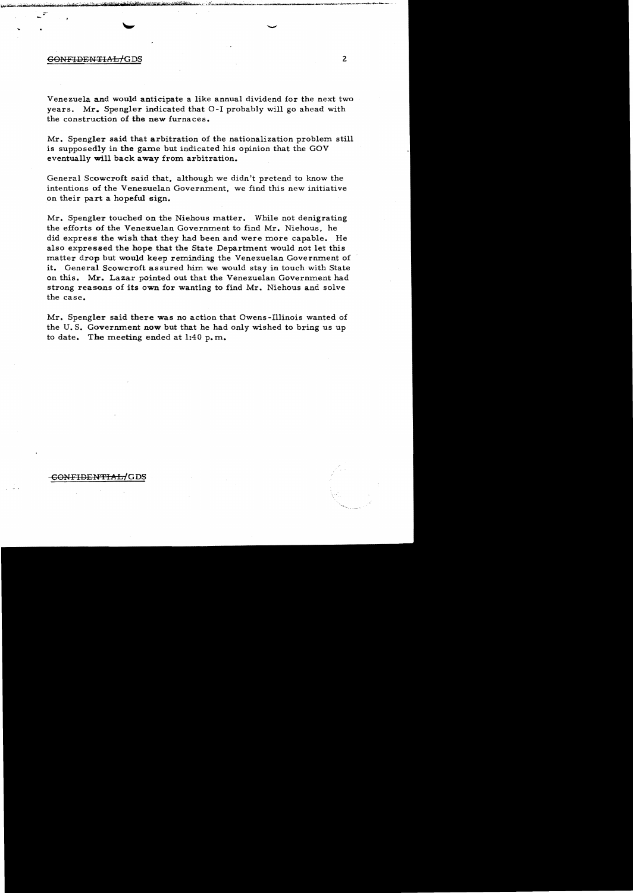## GONFIDENTIAL/GDS 2

Venezuela and would anticipate a like annual dividend for the next two years. Mr. Spengler indicated that 0-1 probably will go ahead with the construction of the new furnaces.

Mr. Spengler said that arbitration of the nationalization problem still is supposedly in the game but indicated his opinion that the GOV eventually will back away from arbitration.

General Scowcroft said that. although we didn't pretend to know the intentions of the Venezuelan Government, we find this new initiative on their part a hopeful sign.

Mr. Spengler touched on the Niehous matter. While not denigrating the efforts of the Venezuelan Government to find Mr. Niehous, he did express the wish that they had been and were more capable. He also expressed the hope that the State Department would not let this matter drop but would keep reminding the Venezuelan Government of it. General Scowcroft assured him we would stay in touch with State on this. Mr. Lazar pointed out that the Venezuelan Government had strong reasons of its own for wanting to find Mr. Niehous and solve the case.

Mr. Spengler said there was no action that Owens-Illinois wanted of the U. S. Government now but that he had only wished to bring us up to date. The meeting ended at 1:40 p. m.

## <del>CONFIDENTIAL/</del>GDS